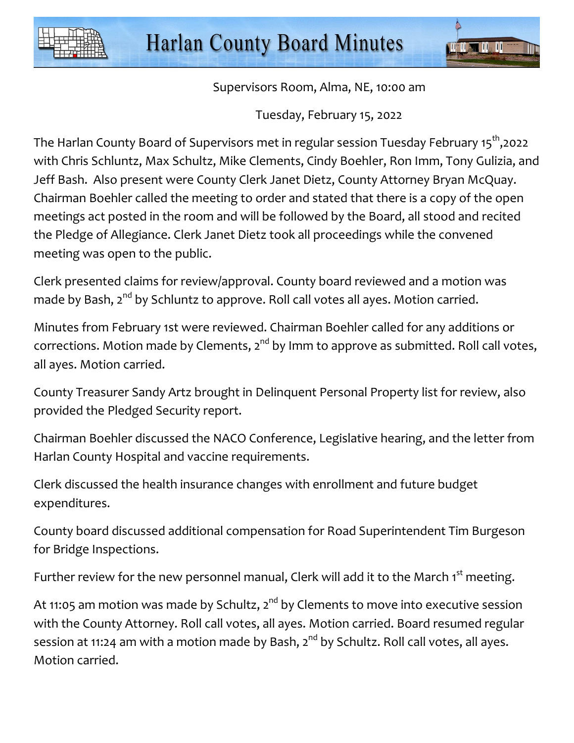



Supervisors Room, Alma, NE, 10:00 am

Tuesday, February 15, 2022

The Harlan County Board of Supervisors met in regular session Tuesday February 15<sup>th</sup>,2022 with Chris Schluntz, Max Schultz, Mike Clements, Cindy Boehler, Ron Imm, Tony Gulizia, and Jeff Bash. Also present were County Clerk Janet Dietz, County Attorney Bryan McQuay. Chairman Boehler called the meeting to order and stated that there is a copy of the open meetings act posted in the room and will be followed by the Board, all stood and recited the Pledge of Allegiance. Clerk Janet Dietz took all proceedings while the convened meeting was open to the public.

Clerk presented claims for review/approval. County board reviewed and a motion was made by Bash, 2<sup>nd</sup> by Schluntz to approve. Roll call votes all ayes. Motion carried.

Minutes from February 1st were reviewed. Chairman Boehler called for any additions or corrections. Motion made by Clements,  $2^{nd}$  by Imm to approve as submitted. Roll call votes, all ayes. Motion carried.

County Treasurer Sandy Artz brought in Delinquent Personal Property list for review, also provided the Pledged Security report.

Chairman Boehler discussed the NACO Conference, Legislative hearing, and the letter from Harlan County Hospital and vaccine requirements.

Clerk discussed the health insurance changes with enrollment and future budget expenditures.

County board discussed additional compensation for Road Superintendent Tim Burgeson for Bridge Inspections.

Further review for the new personnel manual, Clerk will add it to the March 1<sup>st</sup> meeting.

At 11:05 am motion was made by Schultz, 2<sup>nd</sup> by Clements to move into executive session with the County Attorney. Roll call votes, all ayes. Motion carried. Board resumed regular session at 11:24 am with a motion made by Bash,  $2^{nd}$  by Schultz. Roll call votes, all ayes. Motion carried.